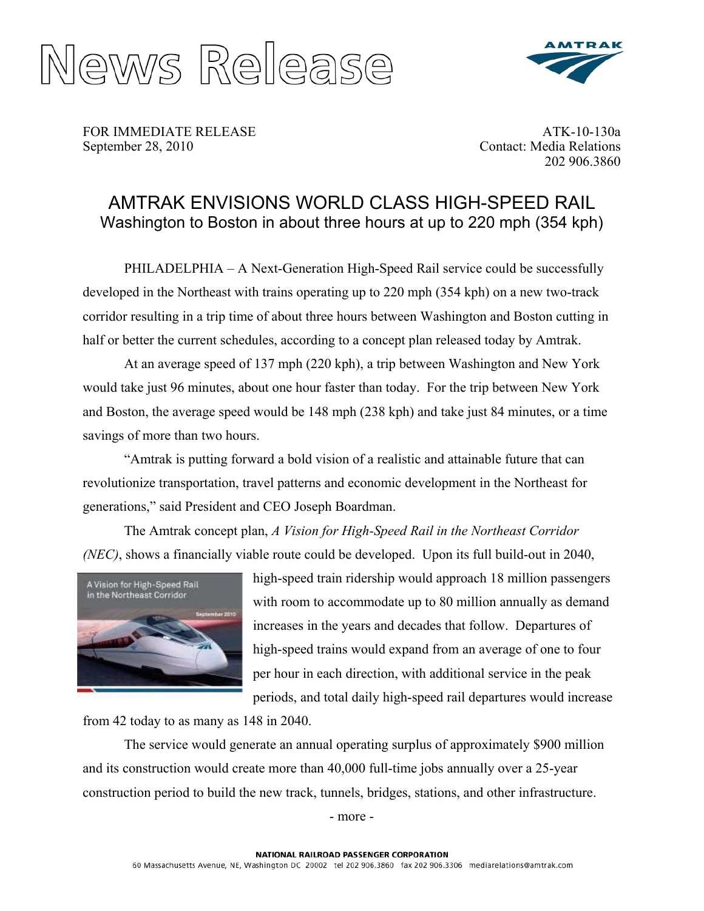



FOR IMMEDIATE RELEASE September 28, 2010

ATK-10-130a Contact: Media Relations 202 906.3860

### AMTRAK ENVISIONS WORLD CLASS HIGH-SPEED RAIL Washington to Boston in about three hours at up to 220 mph (354 kph)

PHILADELPHIA – A Next-Generation High-Speed Rail service could be successfully developed in the Northeast with trains operating up to 220 mph (354 kph) on a new two-track corridor resulting in a trip time of about three hours between Washington and Boston cutting in half or better the current schedules, according to a concept plan released today by Amtrak.

 At an average speed of 137 mph (220 kph), a trip between Washington and New York would take just 96 minutes, about one hour faster than today. For the trip between New York and Boston, the average speed would be 148 mph (238 kph) and take just 84 minutes, or a time savings of more than two hours.

"Amtrak is putting forward a bold vision of a realistic and attainable future that can revolutionize transportation, travel patterns and economic development in the Northeast for generations," said President and CEO Joseph Boardman.

The Amtrak concept plan, *A Vision for High-Speed Rail in the Northeast Corridor (NEC)*, shows a financially viable route could be developed. Upon its full build-out in 2040,



high-speed train ridership would approach 18 million passengers with room to accommodate up to 80 million annually as demand increases in the years and decades that follow. Departures of high-speed trains would expand from an average of one to four per hour in each direction, with additional service in the peak periods, and total daily high-speed rail departures would increase

from 42 today to as many as 148 in 2040.

The service would generate an annual operating surplus of approximately \$900 million and its construction would create more than 40,000 full-time jobs annually over a 25-year construction period to build the new track, tunnels, bridges, stations, and other infrastructure.

- more -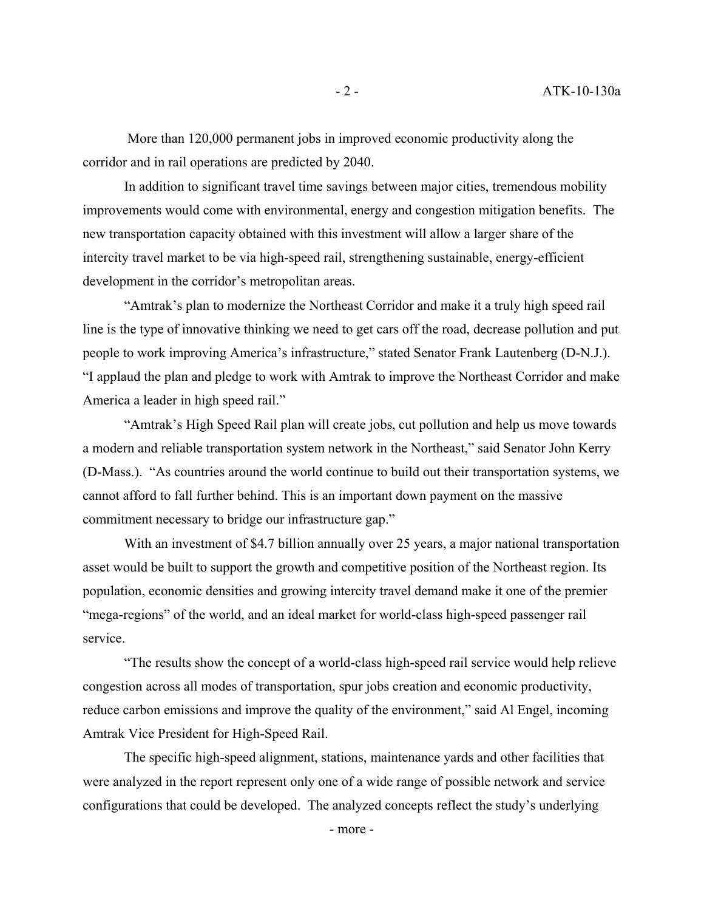More than 120,000 permanent jobs in improved economic productivity along the corridor and in rail operations are predicted by 2040.

In addition to significant travel time savings between major cities, tremendous mobility improvements would come with environmental, energy and congestion mitigation benefits. The new transportation capacity obtained with this investment will allow a larger share of the intercity travel market to be via high-speed rail, strengthening sustainable, energy-efficient development in the corridor's metropolitan areas.

"Amtrak's plan to modernize the Northeast Corridor and make it a truly high speed rail line is the type of innovative thinking we need to get cars off the road, decrease pollution and put people to work improving America's infrastructure," stated Senator Frank Lautenberg (D-N.J.). "I applaud the plan and pledge to work with Amtrak to improve the Northeast Corridor and make America a leader in high speed rail."

"Amtrak's High Speed Rail plan will create jobs, cut pollution and help us move towards a modern and reliable transportation system network in the Northeast," said Senator John Kerry (D-Mass.). "As countries around the world continue to build out their transportation systems, we cannot afford to fall further behind. This is an important down payment on the massive commitment necessary to bridge our infrastructure gap."

With an investment of \$4.7 billion annually over 25 years, a major national transportation asset would be built to support the growth and competitive position of the Northeast region. Its population, economic densities and growing intercity travel demand make it one of the premier "mega-regions" of the world, and an ideal market for world-class high-speed passenger rail service.

"The results show the concept of a world-class high-speed rail service would help relieve congestion across all modes of transportation, spur jobs creation and economic productivity, reduce carbon emissions and improve the quality of the environment," said Al Engel, incoming Amtrak Vice President for High-Speed Rail.

The specific high-speed alignment, stations, maintenance yards and other facilities that were analyzed in the report represent only one of a wide range of possible network and service configurations that could be developed. The analyzed concepts reflect the study's underlying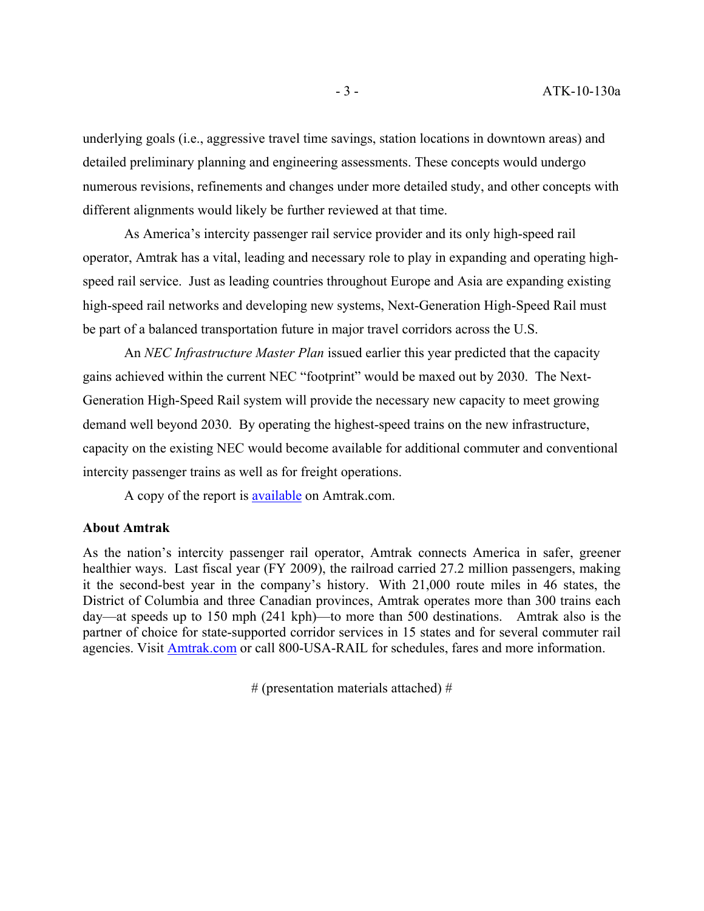underlying goals (i.e., aggressive travel time savings, station locations in downtown areas) and detailed preliminary planning and engineering assessments. These concepts would undergo numerous revisions, refinements and changes under more detailed study, and other concepts with different alignments would likely be further reviewed at that time.

As America's intercity passenger rail service provider and its only high-speed rail operator, Amtrak has a vital, leading and necessary role to play in expanding and operating highspeed rail service. Just as leading countries throughout Europe and Asia are expanding existing high-speed rail networks and developing new systems, Next-Generation High-Speed Rail must be part of a balanced transportation future in major travel corridors across the U.S.

An *NEC Infrastructure Master Plan* issued earlier this year predicted that the capacity gains achieved within the current NEC "footprint" would be maxed out by 2030. The Next-Generation High-Speed Rail system will provide the necessary new capacity to meet growing demand well beyond 2030. By operating the highest-speed trains on the new infrastructure, capacity on the existing NEC would become available for additional commuter and conventional intercity passenger trains as well as for freight operations.

A copy of the report is **available** on Amtrak.com.

#### **About Amtrak**

As the nation's intercity passenger rail operator, Amtrak connects America in safer, greener healthier ways. Last fiscal year (FY 2009), the railroad carried 27.2 million passengers, making it the second-best year in the company's history. With 21,000 route miles in 46 states, the District of Columbia and three Canadian provinces, Amtrak operates more than 300 trains each day—at speeds up to 150 mph (241 kph)—to more than 500 destinations. Amtrak also is the partner of choice for state-supported corridor services in 15 states and for several commuter rail agencies. Visit [Amtrak.com](http://www.amtrak.com/servlet/ContentServer?pagename=Amtrak/HomePage) or call 800-USA-RAIL for schedules, fares and more information.

# (presentation materials attached) #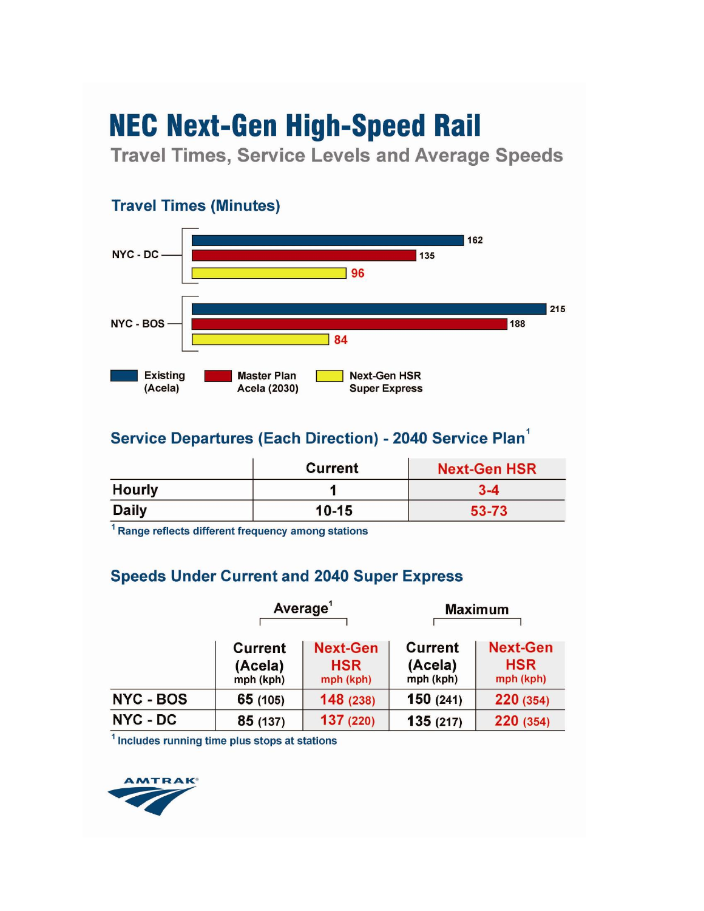**Travel Times, Service Levels and Average Speeds** 



### **Service Departures (Each Direction) - 2040 Service Plan**

|               | <b>Current</b> | <b>Next-Gen HSR</b> |
|---------------|----------------|---------------------|
| <b>Hourly</b> |                | $3 - 4$             |
| <b>Daily</b>  | $10 - 15$      | 53-73               |

<sup>1</sup> Range reflects different frequency among stations

### **Speeds Under Current and 2040 Super Express**

|                  | Average <sup>1</sup>                   |                                            | <b>Maximum</b>                         |                                            |
|------------------|----------------------------------------|--------------------------------------------|----------------------------------------|--------------------------------------------|
|                  | <b>Current</b><br>(Acela)<br>mph (kph) | <b>Next-Gen</b><br><b>HSR</b><br>mph (kph) | <b>Current</b><br>(Acela)<br>mph (kph) | <b>Next-Gen</b><br><b>HSR</b><br>mph (kph) |
| <b>NYC - BOS</b> | 65 (105)                               | 148 (238)                                  | 150(241)                               | 220 (354)                                  |
| NYC - DC         | 85 (137)                               | 137 (220)                                  | 135(217)                               | 220 (354)                                  |

<sup>1</sup> Includes running time plus stops at stations

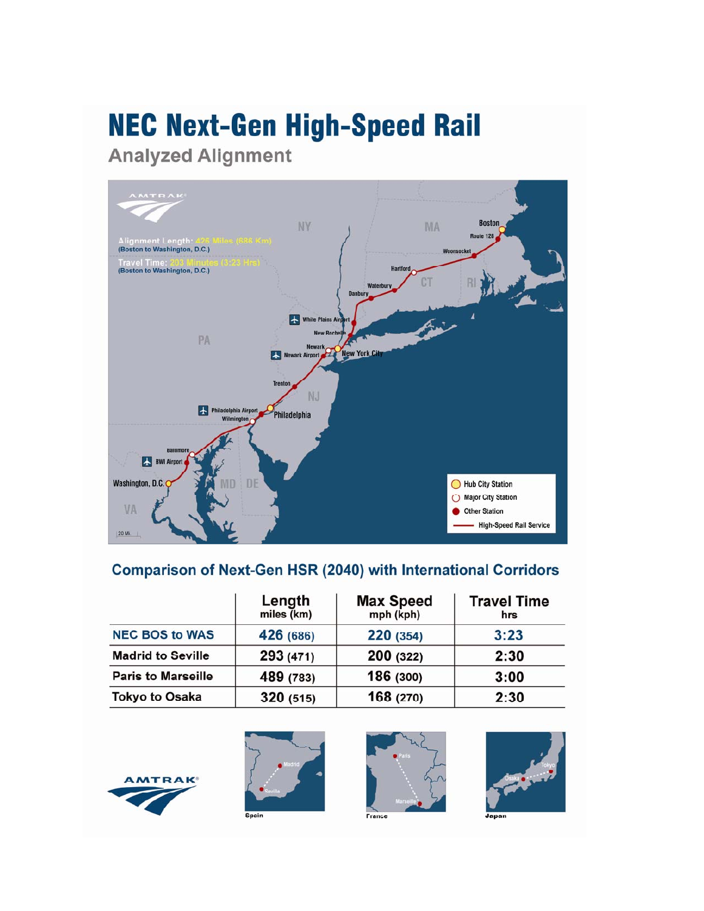**Analyzed Alignment** 



### **Comparison of Next-Gen HSR (2040) with International Corridors**

|                           | Length<br>miles (km) | <b>Max Speed</b><br>mph (kph) | <b>Travel Time</b><br>hrs |
|---------------------------|----------------------|-------------------------------|---------------------------|
| <b>NEC BOS to WAS</b>     | 426 (686)            | 220 (354)                     | 3:23                      |
| <b>Madrid to Seville</b>  | 293 (471)            | 200 (322)                     | 2:30                      |
| <b>Paris to Marseille</b> | 489 (783)            | 186 (300)                     | 3:00                      |
| <b>Tokyo to Osaka</b>     | 320 (515)            | 168 (270)                     | 2:30                      |





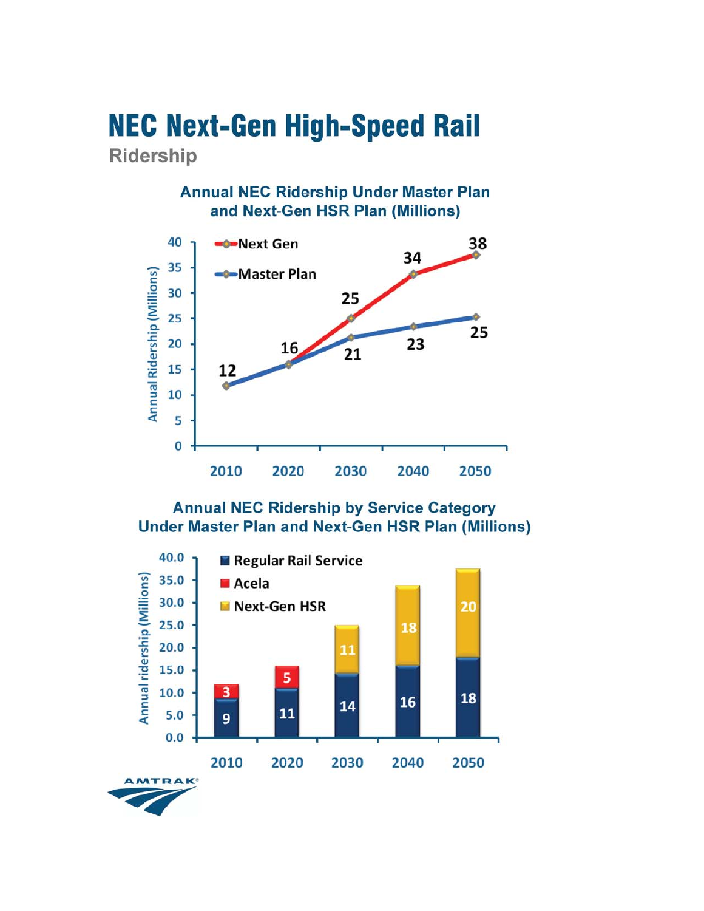### **NEC Next-Gen High-Speed Rail** Ridership

### **Annual NEC Ridership Under Master Plan** and Next-Gen HSR Plan (Millions)



### **Annual NEC Ridership by Service Category Under Master Plan and Next-Gen HSR Plan (Millions)**

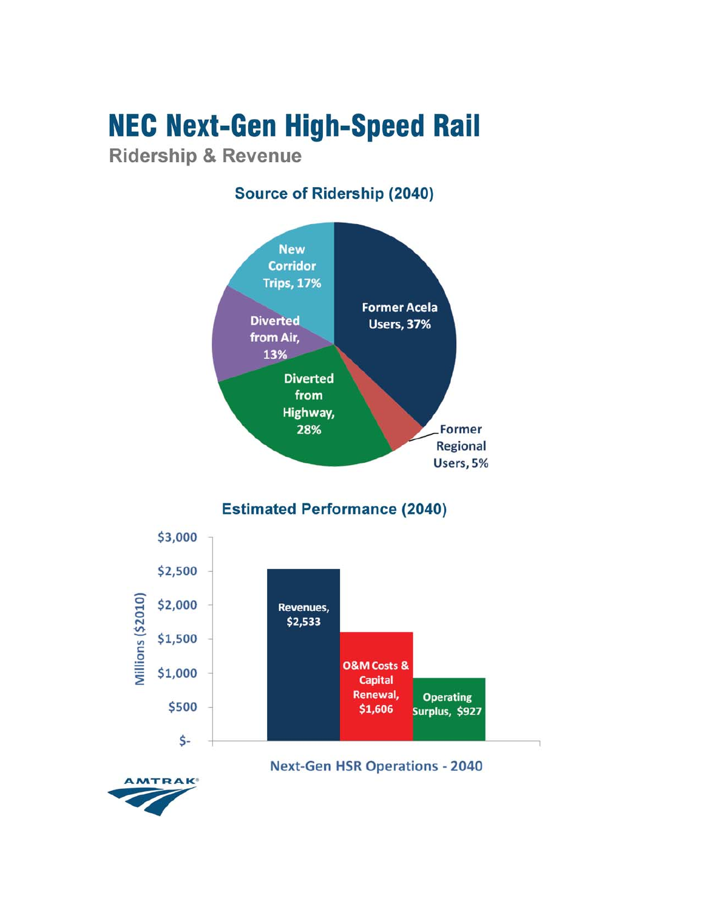**Ridership & Revenue** 

### **Source of Ridership (2040)**